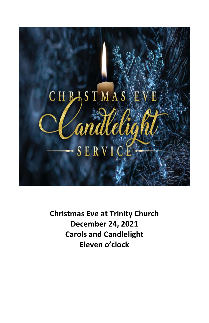

**Christmas Eve at Trinity Church December 24, 2021 Carols and Candlelight Eleven o'clock**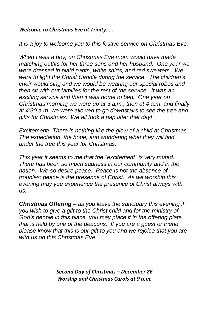#### *Welcome to Christmas Eve at Trinity. . .*

*It is a joy to welcome you to this festive service on Christmas Eve.* 

*When I was a boy, on Christmas Eve mom would have made matching outfits for her three sons and her husband. One year we were dressed in plaid pants, white shirts, and red sweaters. We were to light the Christ Candle during the service. The children's choir would sing and we would be wearing our special robes and then sit with our families for the rest of the service. It was an exciting service and then it was home to bed. One year on Christmas morning we were up at 3 a.m., then at 4 a.m. and finally at 4:30 a.m. we were allowed to go downstairs to see the tree and gifts for Christmas. We all took a nap later that day!* 

*Excitement! There is nothing like the glow of a child at Christmas. The expectation, the hope, and wondering what they will find under the tree this year for Christmas.*

*This year it seems to me that the "excitement" is very muted. There has been so much sadness in our community and in the nation. We so desire peace. Peace is not the absence of troubles; peace is the presence of Christ. As we worship this evening may you experience the presence of Christ always with us.*

*Christmas Offering – as you leave the sanctuary this evening if you wish to give a gift to the Christ child and for the ministry of God's people in this place, you may place it in the offering plate that is held by one of the deacons. If you are a guest or friend, please know that this is our gift to you and we rejoice that you are with us on this Christmas Eve.*

> *Second Day of Christmas – December 26 Worship and Christmas Carols at 9 a.m.*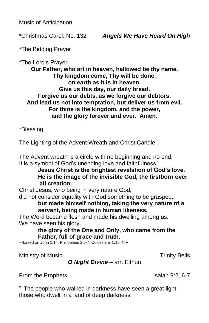Music of Anticipation

\*The Bidding Prayer

\*The Lord's Prayer

**Our Father, who art in heaven, hallowed be thy name. Thy kingdom come, Thy will be done, on earth as it is in heaven. Give us this day, our daily bread. Forgive us our debts, as we forgive our debtors. And lead us not into temptation, but deliver us from evil. For thine is the kingdom, and the power, and the glory forever and ever. Amen.**

\*Blessing

The Lighting of the Advent Wreath and Christ Candle

The Advent wreath is a circle with no beginning and no end. It is a symbol of God's unending love and faithfulness.

**Jesus Christ is the brightest revelation of God's love. He is the image of the invisible God, the firstborn over all creation.** 

Christ Jesus, who being in very nature God,

did not consider equality with God something to be grasped,

**but made himself nothing, taking the very nature of a servant, being made in human likeness.**

The Word became flesh and made his dwelling among us. We have seen his glory,

**the glory of the One and Only, who came from the Father, full of grace and truth.** 

—based on John 1:14; Philippians 2:5-7; Colossians 1:15, NIV

Ministry of Music **Ministry of Music** Ministry Bells

*O Night Divine* – arr. Eithun

From the Prophets **Isaiah 9:2, 6-7** 

**<sup>2</sup>** The people who walked in darkness have seen a great light; those who dwelt in a land of deep darkness,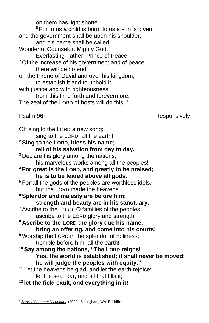on them has light shone. **<sup>6</sup>** For to us a child is born, to us a son is given; and the government shall be upon his shoulder, and his name shall be called Wonderful Counselor, Mighty God, Everlasting Father, Prince of Peace. <sup>7</sup> Of the increase of his government and of peace there will be no end, on the throne of David and over his kingdom, to establish it and to uphold it with justice and with righteousness from this time forth and forevermore. The zeal of the LORD of hosts will do this.<sup>1</sup> Psalm 96 **Responsively** Oh sing to the LORD a new song; sing to the LORD, all the earth! **<sup>2</sup> Sing to the LORD, bless his name; tell of his salvation from day to day. <sup>3</sup>** Declare his glory among the nations, his marvelous works among all the peoples! **<sup>4</sup> For great is the LORD, and greatly to be praised; he is to be feared above all gods. <sup>5</sup>** For all the gods of the peoples are worthless idols, but the LORD made the heavens. **<sup>6</sup> Splendor and majesty are before him; strength and beauty are in his sanctuary. <sup>7</sup>** Ascribe to the LORD, O families of the peoples, ascribe to the LORD glory and strength! **<sup>8</sup> Ascribe to the LORD the glory due his name; bring an offering, and come into his courts! <sup>9</sup>** Worship the LORD in the splendor of holiness; tremble before him, all the earth! **<sup>10</sup> Say among the nations, "The LORD reigns! Yes, the world is established; it shall never be moved; he will judge the peoples with equity." <sup>11</sup>** Let the heavens be glad, and let the earth rejoice; let the sea roar, and all that fills it; **<sup>12</sup> let the field exult, and everything in it!** 

<sup>1</sup> *[Revised Common Lectionary](https://ref.ly/logosres/rcl?ref=YearMonthDay.12-24-2021&off=241&ctx=TAMENT%0aIsaiah+9:2%E2%80%937%0a~+%0aPSALM%0aPsalm+96%0a+%0aN)*. (2009). Bellingham, WA: Faithlife.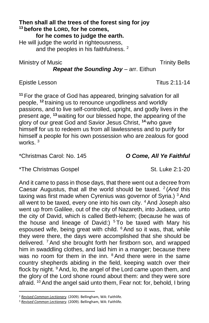#### **Then shall all the trees of the forest sing for joy <sup>13</sup> before the LORD, for he comes, for he comes to judge the earth.**  He will judge the world in righteousness, and the peoples in his faithfulness. <sup>2</sup>

Ministry of Music **Music Trinity Bells** *Repeat the Sounding Joy* – arr. Eithun

Epistle Lesson Titus 2:11-14

**<sup>11</sup>** For the grace of God has appeared, bringing salvation for all people, **<sup>12</sup>** training us to renounce ungodliness and worldly passions, and to live self-controlled, upright, and godly lives in the present age, **<sup>13</sup>** waiting for our blessed hope, the appearing of the glory of our great God and Savior Jesus Christ, **<sup>14</sup>** who gave himself for us to redeem us from all lawlessness and to purify for himself a people for his own possession who are zealous for good works  $3$ 

\*Christmas Carol: No. 145 *O Come, All Ye Faithful*

\*The Christmas Gospel St. Luke 2:1-20

And it came to pass in those days, that there went out a decree from Caesar Augustus, that all the world should be taxed. <sup>2</sup> (And this taxing was first made when Cyrenius was governor of Syria.)<sup>3</sup> And all went to be taxed, every one into his own city. <sup>4</sup> And Joseph also went up from Galilee, out of the city of Nazareth, into Judaea, unto the city of David, which is called Beth-lehem; (because he was of the house and lineage of David:)  $5$ To be taxed with Mary his espoused wife, being great with child. <sup>6</sup> And so it was, that, while they were there, the days were accomplished that she should be delivered. <sup>7</sup> And she brought forth her firstborn son, and wrapped him in swaddling clothes, and laid him in a manger; because there was no room for them in the inn. <sup>8</sup> And there were in the same country shepherds abiding in the field, keeping watch over their flock by night. <sup>9</sup> And, lo, the angel of the Lord came upon them, and the glory of the Lord shone round about them: and they were sore afraid. <sup>10</sup> And the angel said unto them, Fear not: for, behold, I bring

<sup>2</sup> *[Revised Common Lectionary](https://ref.ly/logosres/rcl?ref=YearMonthDay.12-24-2021&off=258&ctx=%E2%80%937%0a+%0aPSALM%0aPsalm+96%0a~+%0aNEW+TESTAMENT%0aTitu)*. (2009). Bellingham, WA: Faithlife.

<sup>3</sup> *[Revised Common Lectionary](https://ref.ly/logosres/rcl?ref=YearMonthDay.12-24-2021&off=288&ctx=AMENT%0aTitus+2:11%E2%80%9314%0a~+%0aGOSPEL%0aLuke+2:1%E2%80%9314)*. (2009). Bellingham, WA: Faithlife.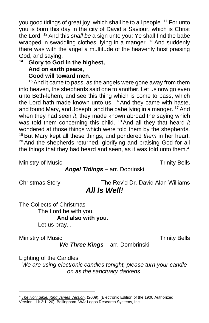you good tidings of great joy, which shall be to all people. <sup>11</sup> For unto you is born this day in the city of David a Saviour, which is Christ the Lord. <sup>12</sup> And this *shall be* a sign unto you; Ye shall find the babe wrapped in swaddling clothes, lying in a manger. <sup>13</sup> And suddenly there was with the angel a multitude of the heavenly host praising God, and saying,

# **<sup>14</sup> Glory to God in the highest, And on earth peace, Good will toward men.**

<sup>15</sup> And it came to pass, as the angels were gone away from them into heaven, the shepherds said one to another, Let us now go even unto Beth-lehem, and see this thing which is come to pass, which the Lord hath made known unto us. <sup>16</sup> And they came with haste, and found Mary, and Joseph, and the babe lying in a manger. <sup>17</sup> And when they had seen *it*, they made known abroad the saying which was told them concerning this child. <sup>18</sup> And all they that heard *it* wondered at those things which were told them by the shepherds. <sup>19</sup> But Mary kept all these things, and pondered *them* in her heart.  $20$  And the shepherds returned, glorifying and praising God for all the things that they had heard and seen, as it was told unto them.<sup>4</sup>

Ministry of Music **Music Trinity Bells** 

# *Angel Tidings* – arr. Dobrinski

Christmas Story The Rev'd Dr. David Alan Williams *All Is Well!*

The Collects of Christmas The Lord be with you. **And also with you.** Let us pray...

Ministry of Music **Trinity Bells** 

*We Three Kings* – arr. Dombrinski

Lighting of the Candles

*We are using electronic candles tonight, please turn your candle on as the sanctuary darkens.*

<sup>4</sup> *[The Holy Bible: King James Version](https://ref.ly/logosres/kjv1900?ref=BibleKJV.Lk2.1&off=2&ctx=2+*%EF%BB%BF~And+it+came+to+pass+in+those+days%2c+t)*. (2009). (Electronic Edition of the 1900 Authorized Version., Lk 2:1–20). Bellingham, WA: Logos Research Systems, Inc.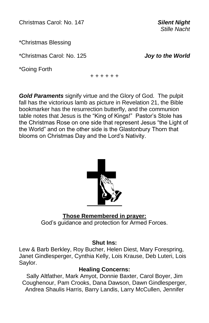Christmas Carol: No. 147 *Silent Night*

*Stille Nacht*

\*Christmas Blessing

\*Christmas Carol: No. 125 *Joy to the World*

\*Going Forth

+ + + + + +

*Gold Paraments* signify virtue and the Glory of God. The pulpit fall has the victorious lamb as picture in Revelation 21, the Bible bookmarker has the resurrection butterfly, and the communion table notes that Jesus is the "King of Kings!" Pastor's Stole has the Christmas Rose on one side that represent Jesus "the Light of the World" and on the other side is the Glastonbury Thorn that blooms on Christmas Day and the Lord's Nativity.



## **Shut Ins:**

Lew & Barb Berkley, Roy Bucher, Helen Diest, Mary Forespring, Janet Gindlesperger, Cynthia Kelly, Lois Krause, Deb Luteri, Lois Saylor.

## **Healing Concerns:**

Sally Altfather, Mark Amyot, Donnie Baxter, Carol Boyer, Jim Coughenour, Pam Crooks, Dana Dawson, Dawn Gindlesperger, Andrea Shaulis Harris, Barry Landis, Larry McCullen, Jennifer

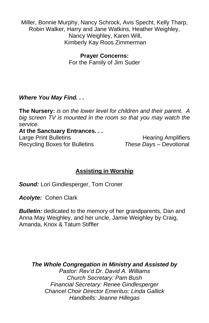Miller, Bonnie Murphy, Nancy Schrock, Avis Specht, Kelly Tharp, Robin Walker, Harry and Jane Watkins, Heather Weighley, Nancy Weighley, Karen Will, Kimberly Kay Roos Zimmerman

**Prayer Concerns:**

For the Family of Jim Suder

## *Where You May Find. . .*

**The Nursery:** *is on the lower level for children and their parent. A big screen TV is mounted in the room so that you may watch the service.*

### **At the Sanctuary Entrances. . .**

Large Print Bulletins **Example 20** Hearing Amplifiers Recycling Boxes for Bulletins *These Days –* Devotional

# **Assisting in Worship**

*Sound:* Lori Gindlesperger, Tom Croner

*Acolyte:* Cohen Clark

**Bulletin:** dedicated to the memory of her grandparents, Dan and Anna May Weighley, and her uncle, Jamie Weighley by Craig, Amanda, Knox & Tatum Stiffler

*The Whole Congregation in Ministry and Assisted by Pastor: Rev'd Dr. David A. Williams Church Secretary: Pam Bush Financial Secretary: Renee Gindlesperger Chancel Choir Director Emeritus: Linda Gallick Handbells: Jeanne Hillegas*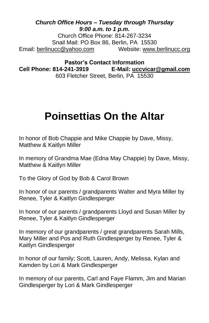*Church Office Hours – Tuesday through Thursday 9:00 a.m. to 1 p.m.* Church Office Phone: 814-267-3234 Snail Mail: PO Box 86, Berlin, PA 15530 Email: [berlinucc@yahoo.com](mailto:berlinucc@yahoo.com)

**Pastor's Contact Information Cell Phone: 814-241-3919 E-Mail: [uccvicar@gmail.com](mailto:uccvicar@gmail.com)** 603 Fletcher Street, Berlin, PA 15530

# **Poinsettias On the Altar**

In honor of Bob Chappie and Mike Chappie by Dave, Missy, Matthew & Kaitlyn Miller

In memory of Grandma Mae (Edna May Chappie) by Dave, Missy, Matthew & Kaitlyn Miller

To the Glory of God by Bob & Carol Brown

In honor of our parents / grandparents Walter and Myra Miller by Renee, Tyler & Kaitlyn Gindlesperger

In honor of our parents / grandparents Lloyd and Susan Miller by Renee, Tyler & Kaitlyn Gindlesperger

In memory of our grandparents / great grandparents Sarah Mills, Mary Miller and Pos and Ruth Gindlesperger by Renee, Tyler & Kaitlyn Gindlesperger

In honor of our family; Scott, Lauren, Andy, Melissa, Kylan and Kamden by Lori & Mark Gindlesperger

In memory of our parents, Carl and Faye Flamm, Jim and Marian Gindlesperger by Lori & Mark Gindlesperger